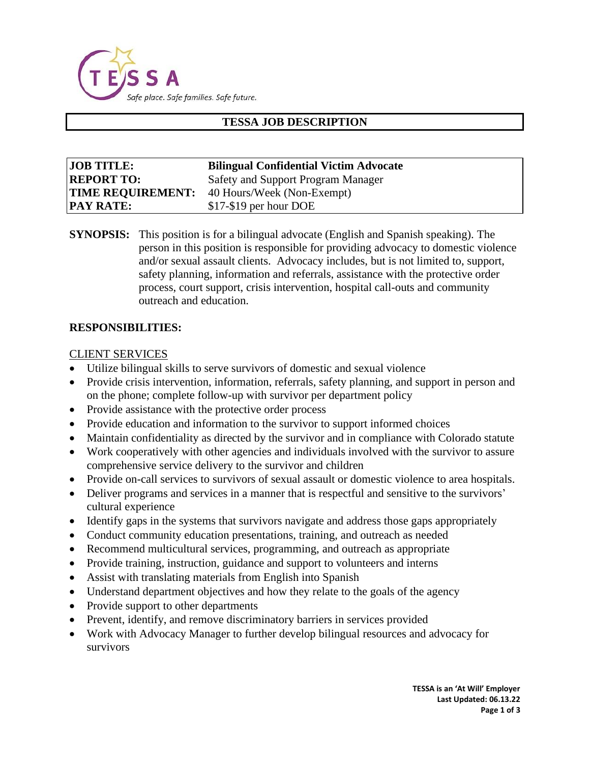

# **TESSA JOB DESCRIPTION**

| <b>JOB TITLE:</b>        | <b>Bilingual Confidential Victim Advocate</b> |
|--------------------------|-----------------------------------------------|
| <b>REPORT TO:</b>        | Safety and Support Program Manager            |
| <b>TIME REQUIREMENT:</b> | 40 Hours/Week (Non-Exempt)                    |
| <b>PAY RATE:</b>         | \$17-\$19 per hour DOE                        |

**SYNOPSIS:** This position is for a bilingual advocate (English and Spanish speaking). The person in this position is responsible for providing advocacy to domestic violence and/or sexual assault clients. Advocacy includes, but is not limited to, support, safety planning, information and referrals, assistance with the protective order process, court support, crisis intervention, hospital call-outs and community outreach and education.

#### **RESPONSIBILITIES:**

#### CLIENT SERVICES

- Utilize bilingual skills to serve survivors of domestic and sexual violence
- Provide crisis intervention, information, referrals, safety planning, and support in person and on the phone; complete follow-up with survivor per department policy
- Provide assistance with the protective order process
- Provide education and information to the survivor to support informed choices
- Maintain confidentiality as directed by the survivor and in compliance with Colorado statute
- Work cooperatively with other agencies and individuals involved with the survivor to assure comprehensive service delivery to the survivor and children
- Provide on-call services to survivors of sexual assault or domestic violence to area hospitals.
- Deliver programs and services in a manner that is respectful and sensitive to the survivors' cultural experience
- Identify gaps in the systems that survivors navigate and address those gaps appropriately
- Conduct community education presentations, training, and outreach as needed
- Recommend multicultural services, programming, and outreach as appropriate
- Provide training, instruction, guidance and support to volunteers and interns
- Assist with translating materials from English into Spanish
- Understand department objectives and how they relate to the goals of the agency
- Provide support to other departments
- Prevent, identify, and remove discriminatory barriers in services provided
- Work with Advocacy Manager to further develop bilingual resources and advocacy for survivors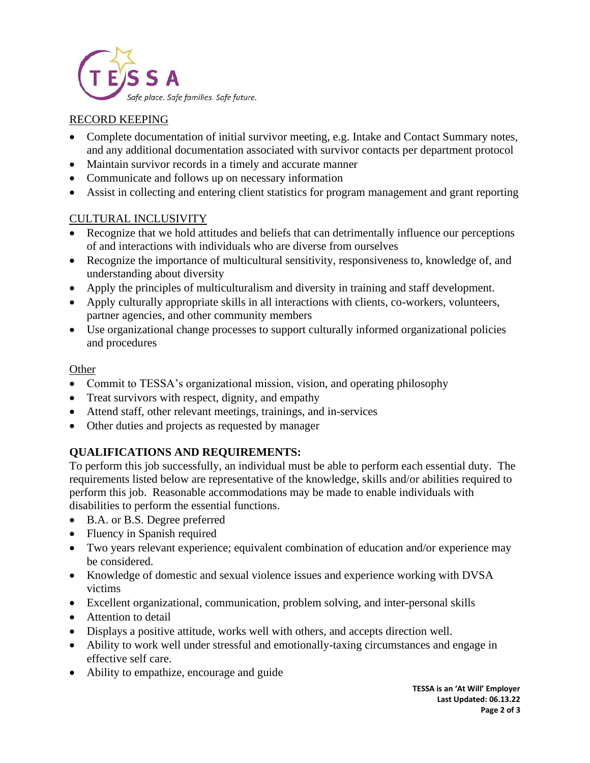

# RECORD KEEPING

- Complete documentation of initial survivor meeting, e.g. Intake and Contact Summary notes, and any additional documentation associated with survivor contacts per department protocol
- Maintain survivor records in a timely and accurate manner
- Communicate and follows up on necessary information
- Assist in collecting and entering client statistics for program management and grant reporting

## CULTURAL INCLUSIVITY

- Recognize that we hold attitudes and beliefs that can detrimentally influence our perceptions of and interactions with individuals who are diverse from ourselves
- Recognize the importance of multicultural sensitivity, responsiveness to, knowledge of, and understanding about diversity
- Apply the principles of multiculturalism and diversity in training and staff development.
- Apply culturally appropriate skills in all interactions with clients, co-workers, volunteers, partner agencies, and other community members
- Use organizational change processes to support culturally informed organizational policies and procedures

## **Other**

- Commit to TESSA's organizational mission, vision, and operating philosophy
- Treat survivors with respect, dignity, and empathy
- Attend staff, other relevant meetings, trainings, and in-services
- Other duties and projects as requested by manager

# **QUALIFICATIONS AND REQUIREMENTS:**

To perform this job successfully, an individual must be able to perform each essential duty. The requirements listed below are representative of the knowledge, skills and/or abilities required to perform this job. Reasonable accommodations may be made to enable individuals with disabilities to perform the essential functions.

- B.A. or B.S. Degree preferred
- Fluency in Spanish required
- Two years relevant experience; equivalent combination of education and/or experience may be considered.
- Knowledge of domestic and sexual violence issues and experience working with DVSA victims
- Excellent organizational, communication, problem solving, and inter-personal skills
- Attention to detail
- Displays a positive attitude, works well with others, and accepts direction well.
- Ability to work well under stressful and emotionally-taxing circumstances and engage in effective self care.
- Ability to empathize, encourage and guide